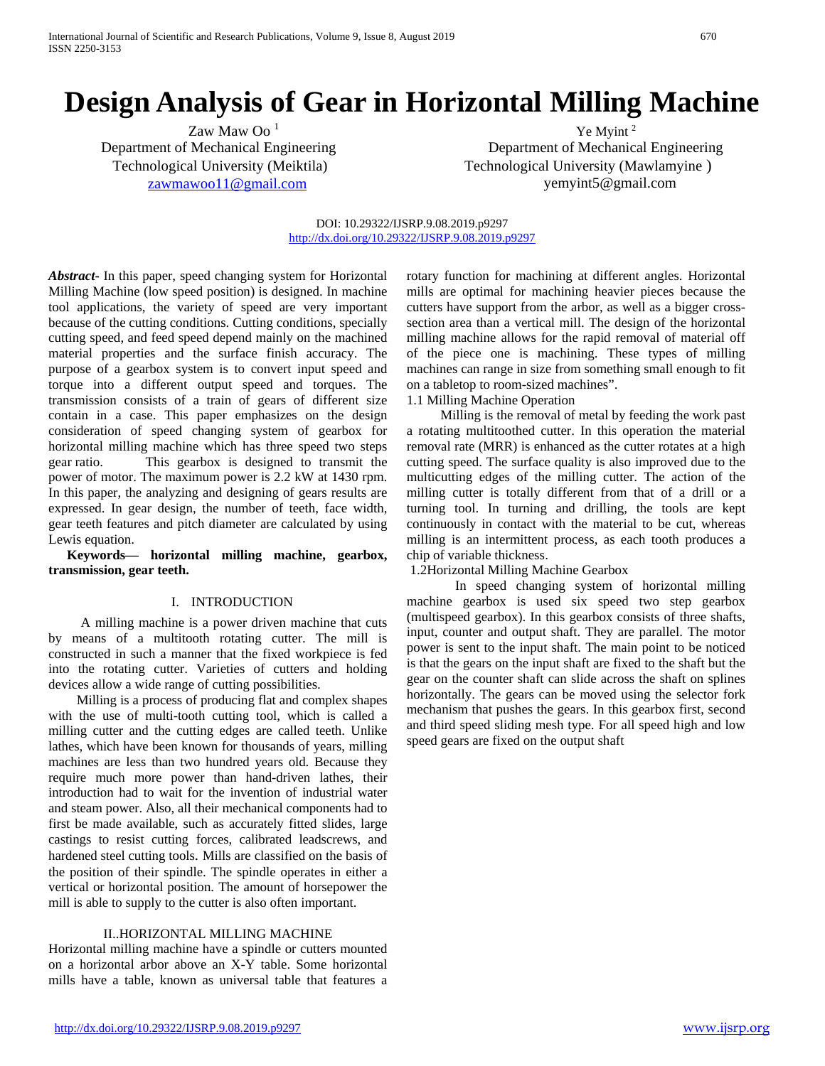# **Design Analysis of Gear in Horizontal Milling Machine**

 $\chi$  Zaw Maw Oo<sup>1</sup> Ye Myint<sup>2</sup>

Department of Mechanical Engineering Department of Mechanical Engineering Technological University (Meiktila) Technological University (Mawlamyine ) [zawmawoo11@gmail.com](mailto:zawmawoo11@gmail.com) yemyint5@gmail.com

#### DOI: 10.29322/IJSRP.9.08.2019.p9297 <http://dx.doi.org/10.29322/IJSRP.9.08.2019.p9297>

*Abstract***-** In this paper, speed changing system for Horizontal Milling Machine (low speed position) is designed. In machine tool applications, the variety of speed are very important because of the cutting conditions. Cutting conditions, specially cutting speed, and feed speed depend mainly on the machined material properties and the surface finish accuracy. The purpose of a gearbox system is to convert input speed and torque into a different output speed and torques. The transmission consists of a train of gears of different size contain in a case. This paper emphasizes on the design consideration of speed changing system of gearbox for horizontal milling machine which has three speed two steps gear ratio. This gearbox is designed to transmit the power of motor. The maximum power is 2.2 kW at 1430 rpm. In this paper, the analyzing and designing of gears results are expressed. In gear design, the number of teeth, face width, gear teeth features and pitch diameter are calculated by using Lewis equation.

**Keywords— horizontal milling machine, gearbox, transmission, gear teeth.**

### I. INTRODUCTION

A milling machine is a power driven machine that cuts by means of a multitooth rotating cutter. The mill is constructed in such a manner that the fixed workpiece is fed into the rotating cutter. Varieties of cutters and holding devices allow a wide range of cutting possibilities.

Milling is a process of producing flat and complex shapes with the use of multi-tooth cutting tool, which is called a milling cutter and the cutting edges are called teeth. Unlike lathes, which have been known for thousands of years, milling machines are less than two hundred years old. Because they require much more power than hand-driven lathes, their introduction had to wait for the invention of industrial water and steam power. Also, all their mechanical components had to first be made available, such as accurately fitted slides, large castings to resist cutting forces, calibrated leadscrews, and hardened steel cutting tools. Mills are classified on the basis of the position of their spindle. The spindle operates in either a vertical or horizontal position. The amount of horsepower the mill is able to supply to the cutter is also often important.

### II..HORIZONTAL MILLING MACHINE

Horizontal milling machine have a spindle or cutters mounted on a horizontal arbor above an X-Y table. Some horizontal mills have a table, known as universal table that features a rotary function for machining at different angles. Horizontal mills are optimal for machining heavier pieces because the cutters have support from the arbor, as well as a bigger crosssection area than a vertical mill. The design of the horizontal milling machine allows for the rapid removal of material off of the piece one is machining. These types of milling machines can range in size from something small enough to fit on a tabletop to room-sized machines".

1.1 Milling Machine Operation

Milling is the removal of metal by feeding the work past a rotating multitoothed cutter. In this operation the material removal rate (MRR) is enhanced as the cutter rotates at a high cutting speed. The surface quality is also improved due to the multicutting edges of the milling cutter. The action of the milling cutter is totally different from that of a drill or a turning tool. In turning and drilling, the tools are kept continuously in contact with the material to be cut, whereas milling is an intermittent process, as each tooth produces a chip of variable thickness.

1.2Horizontal Milling Machine Gearbox

In speed changing system of horizontal milling machine gearbox is used six speed two step gearbox (multispeed gearbox). In this gearbox consists of three shafts, input, counter and output shaft. They are parallel. The motor power is sent to the input shaft. The main point to be noticed is that the gears on the input shaft are fixed to the shaft but the gear on the counter shaft can slide across the shaft on splines horizontally. The gears can be moved using the selector fork mechanism that pushes the gears. In this gearbox first, second and third speed sliding mesh type. For all speed high and low speed gears are fixed on the output shaft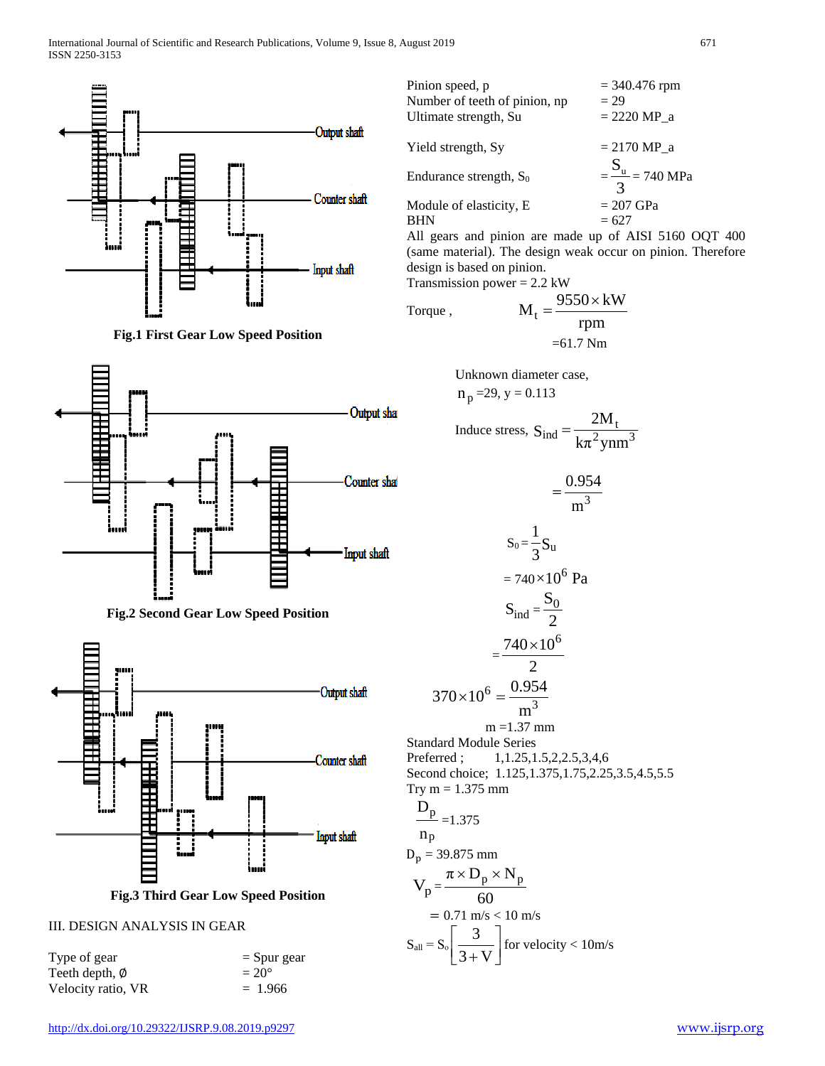









**Fig.3 Third Gear Low Speed Position**

## III. DESIGN ANALYSIS IN GEAR

| Type of gear       | $=$ Spur gear  |
|--------------------|----------------|
| Teeth depth, Ø     | $= 20^{\circ}$ |
| Velocity ratio, VR | $= 1.966$      |

| Pinion speed, p               | $=$ 340.476 rpm              |
|-------------------------------|------------------------------|
| Number of teeth of pinion, np | $= 29$                       |
| Ultimate strength, Su         | $= 2220 MP a$                |
|                               |                              |
| Yield strength, Sy            | $= 2170 \text{ MP}$ a        |
|                               |                              |
| Endurance strength, $S_0$     | $=\frac{S_{u}}{2}$ = 740 MPa |
|                               |                              |
| Module of elasticity, E.      | $= 207$ GPa                  |
|                               | $= 627$                      |

All gears and pinion are made up of AISI 5160 OQT 400 (same material). The design weak occur on pinion. Therefore design is based on pinion. Transmission power  $= 2.2$  kW

Torque ,  $M_t = \frac{9550 \times kW}{rpm}$ =61.7 Nm

Unknown diameter case,

$$
n_p = 29, y = 0.113
$$

Induce stress, 
$$
S_{ind} = \frac{2M_t}{k\pi^2 ynm^3}
$$

$$
= \frac{0.954}{m^3}
$$
  
\n
$$
S_0 = \frac{1}{3} S_u
$$
  
\n
$$
= 740 \times 10^6 \text{ Pa}
$$
  
\n
$$
S_{ind} = \frac{S_0}{2}
$$
  
\n
$$
= \frac{740 \times 10^6}{2}
$$
  
\n
$$
= \frac{740 \times 10^6}{2}
$$
  
\n
$$
= \frac{740 \times 10^6}{2}
$$
  
\n
$$
= \frac{740 \times 10^6}{2}
$$
  
\n
$$
= \frac{137 \text{ mm}}{2}
$$
  
\nStandard Module Series  
\nPreferred; 1,1.25,1.5,2,2.5,3,4,6  
\nSecond choice; 1.125,1.375,1.75,2.25  
\nTry m = 1.375 mm  
\nD<sub>p</sub> 1.275

Standard Module Series  
\nPerfect ; 1,1.25,1.5,2,2.5,3,4,6  
\nSecond choice; 1.125,1.375,1.75,2.25,3.5,4.5,5.5  
\nTry m = 1.375 mm  
\n
$$
\frac{D_p}{p} = 1.375
$$
\nnp  
\n
$$
D_p = 39.875 mm
$$
\n
$$
V_p = \frac{\pi \times D_p \times N_p}{60}
$$

$$
= 0.71 \text{ m/s} < 10 \text{ m/s}
$$
  

$$
S_{all} = S_o \left[ \frac{3}{3 + V} \right] \text{ for velocity} < 10 \text{ m/s}
$$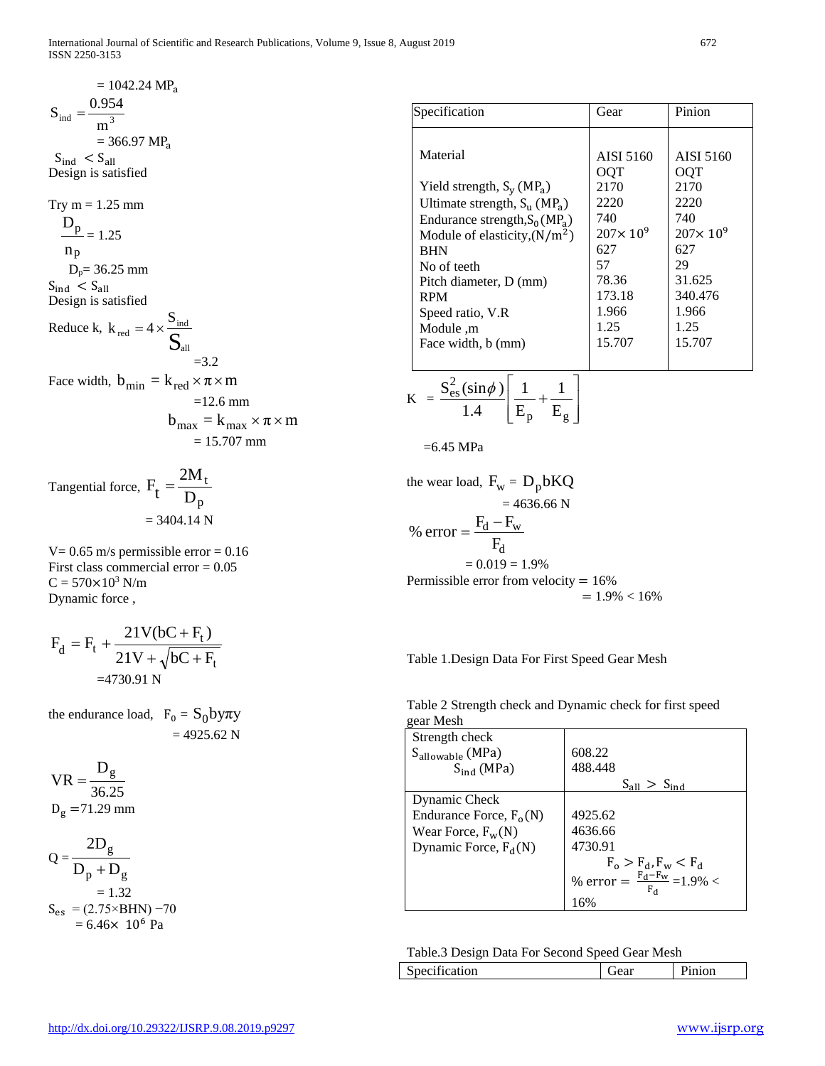$$
= 1042.24 MPa
$$
  
\n
$$
Sind = \frac{0.954}{m^3}
$$
  
\n= 366.97 MP<sub>a</sub>  
\n
$$
Sind < Sall
$$
  
\nDesign is satisfied  
\nTry m = 1.25 mm  
\n
$$
\frac{D_p}{m} = 1.25
$$
  
\nnp  
\n
$$
D_p = 36.25 mm
$$
  
\n
$$
Sind < Sall
$$
  
\nDesign is satisfied  
\nReduce k, k<sub>red</sub> = 4 ×  $\frac{Sind}{Sall}$   
\n=3.2  
\nFace width, b<sub>min</sub> = k<sub>red</sub> × π × m  
\n= 12.6 mm  
\n
$$
bmax = kmax × π × m\n= 15.707 mm
$$

Tangential force, p t D  $F_t = \frac{2M}{D}$  $= 3404.14$  N

 $V= 0.65$  m/s permissible error = 0.16 First class commercial error = 0.05  $C = 570 \times 10^3$  N/m Dynamic force ,

$$
F_d = F_t + \frac{21V(bC + F_t)}{21V + \sqrt{bC + F_t}}
$$
  
=4730.91 N

the endurance load,  $F_0 = S_0$ by $\pi y$  $= 4925.62$  N

$$
VR = \frac{D_g}{36.25}
$$
  

$$
D_g = 71.29 \text{ mm}
$$

$$
Q = \frac{2D_g}{D_p + D_g} = 1.32
$$
  
\n
$$
S_{es} = (2.75 \times BHN) - 70 = 6.46 \times 10^6 Pa
$$

| Specification                                  | Gear                | Pinion              |
|------------------------------------------------|---------------------|---------------------|
|                                                |                     |                     |
| Material                                       | AISI 5160           | AISI 5160           |
|                                                | OQT                 | OOT                 |
| Yield strength, $S_v$ (MP <sub>a</sub> )       | 2170                | 2170                |
| Ultimate strength, $S_{11}$ (MP <sub>a</sub> ) | 2220                | 2220                |
| Endurance strength, $S_0(MP_a)$                | 740                 | 740                 |
| Module of elasticity, $(N/m^2)$                | $207 \times 10^{9}$ | $207 \times 10^{9}$ |
| <b>BHN</b>                                     | 627                 | 627                 |
| No of teeth                                    | 57                  | 29                  |
| Pitch diameter, D (mm)                         | 78.36               | 31.625              |
| <b>RPM</b>                                     | 173.18              | 340.476             |
| Speed ratio, V.R                               | 1.966               | 1.966               |
| m. Module                                      | 1.25                | 1.25                |
| Face width, b (mm)                             | 15.707              | 15.707              |
|                                                |                     |                     |

$$
K = \frac{S_{\text{es}}^2(\sin \phi)}{1.4} \left[ \frac{1}{E_p} + \frac{1}{E_g} \right]
$$

=6.45 MPa

the wear load,  $F_w = D_p b KQ$  $= 4636.66$  N d  $d - F_W$ F % error =  $\frac{F_d - F_s}{F}$  $= 0.019 = 1.9\%$ Permissible error from velocity = 16%  $= 1.9\% < 16\%$ 

Table 1.Design Data For First Speed Gear Mesh

Table 2 Strength check and Dynamic check for first speed gear Mesh

| gcal ivicsii                 |                                            |
|------------------------------|--------------------------------------------|
| Strength check               |                                            |
| S <sub>allowable</sub> (MPa) | 608.22                                     |
| $S_{ind}$ (MPa)              | 488.448                                    |
|                              | $S_{all} > S_{ind}$                        |
| Dynamic Check                |                                            |
| Endurance Force, $F_0(N)$    | 4925.62                                    |
| Wear Force, $F_w(N)$         | 4636.66                                    |
| Dynamic Force, $F_d(N)$      | 4730.91                                    |
|                              | $F_o > F_d$ , $F_w < F_d$                  |
|                              | % error = $\frac{F_d - F_w}{F_d}$ = 1.9% < |
|                              | 16%                                        |

|  | Table.3 Design Data For Second Speed Gear Mesh |
|--|------------------------------------------------|
|--|------------------------------------------------|

| Specification<br>iear<br>110n |
|-------------------------------|
|-------------------------------|

 $\mathcal{L}_{\mathcal{A}}$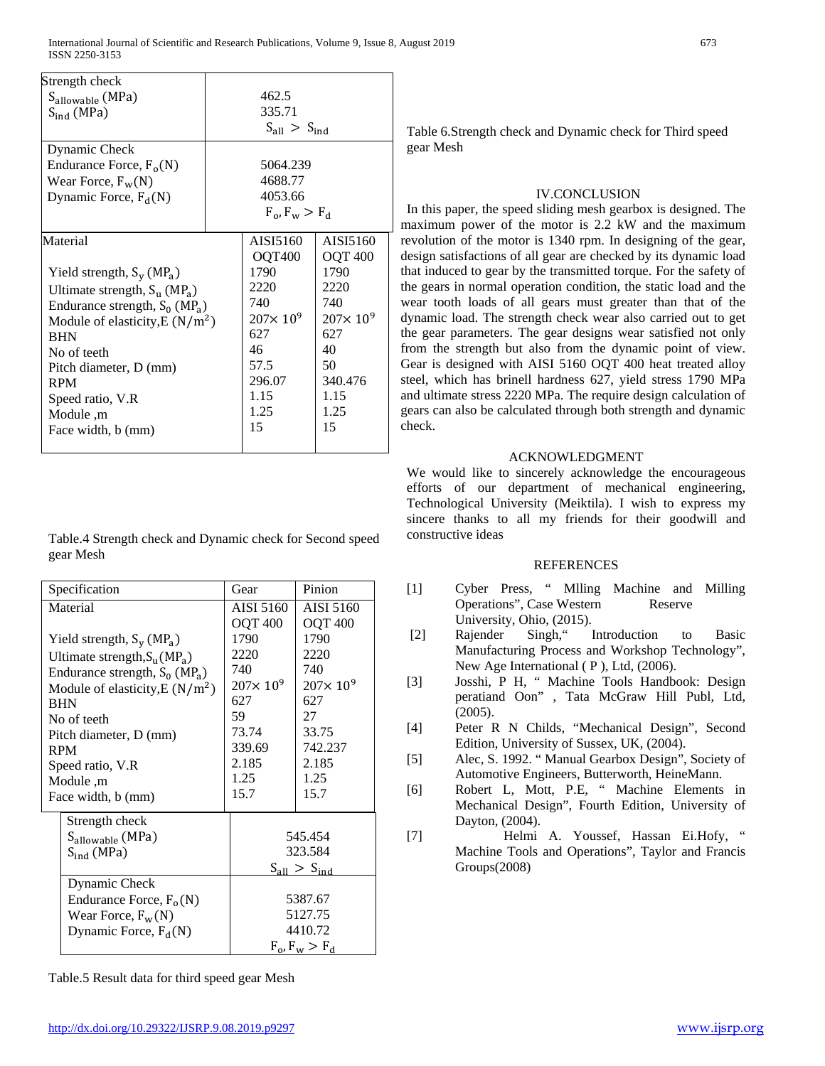| Strength check                                 |         |                                        |                     |
|------------------------------------------------|---------|----------------------------------------|---------------------|
| S <sub>allowable</sub> (MPa)                   |         | 462.5                                  |                     |
| $S_{ind}$ (MPa)                                |         | 335.71                                 |                     |
|                                                |         | $S_{all} > S_{ind}$                    |                     |
| Dynamic Check                                  |         |                                        |                     |
| Endurance Force, $F_o(N)$                      |         | 5064.239                               |                     |
| Wear Force, $F_w(N)$                           | 4688.77 |                                        |                     |
| Dynamic Force, $F_d(N)$                        |         | 4053.66                                |                     |
|                                                |         | $F_{\alpha}$ , $F_{\rm w} > F_{\rm d}$ |                     |
| Material                                       |         | AISI5160                               | AISI5160            |
|                                                |         | OQT400                                 | <b>OQT 400</b>      |
| Yield strength, $S_v$ (MP <sub>a</sub> )       |         | 1790                                   | 1790                |
| Ultimate strength, $S_{11}$ (MP <sub>a</sub> ) |         | 2220                                   | 2220                |
| Endurance strength, $S_0$ (MP <sub>a</sub> )   |         | 740                                    | 740                 |
| Module of elasticity, $E(N/m^2)$               |         | $207 \times 10^{9}$                    | $207 \times 10^{9}$ |
| <b>BHN</b>                                     |         | 627                                    | 627                 |
| No of teeth                                    |         | 46                                     | 40                  |
| Pitch diameter, D (mm)                         |         | 57.5                                   | 50                  |
| <b>RPM</b>                                     |         | 296.07                                 | 340.476             |
| Speed ratio, V.R.                              |         | 1.15                                   | 1.15                |
| Module, m                                      |         | 1.25                                   | 1.25                |
| Face width, b (mm)                             |         | 15                                     | 15                  |
|                                                |         |                                        |                     |

Table.4 Strength check and Dynamic check for Second speed gear Mesh

| Specification                                | Gear                | Pinion              |
|----------------------------------------------|---------------------|---------------------|
| Material                                     | AISI 5160           | AISI 5160           |
|                                              | <b>OQT 400</b>      | <b>OQT 400</b>      |
| Yield strength, $S_v$ (MP <sub>a</sub> )     | 1790                | 1790                |
| Ultimate strength, $S_u(MP_a)$               | 2220                | 2220                |
| Endurance strength, $S_0$ (MP <sub>a</sub> ) | 740                 | 740                 |
| Module of elasticity, $E(N/m^2)$             | $207 \times 10^{9}$ | $207 \times 10^{9}$ |
| <b>BHN</b>                                   | 627                 | 627                 |
| No of teeth                                  | 59                  | 27                  |
| Pitch diameter, D (mm)                       | 73.74               | 33.75               |
| <b>RPM</b>                                   | 339.69              | 742.237             |
| Speed ratio, V.R                             | 2.185               | 2.185               |
| Module, m                                    | 1.25                | 1.25                |
| Face width, b (mm)                           | 15.7                | 15.7                |
| Strength check                               |                     |                     |
| Sallowable (MPa)                             | 545.454             |                     |
| $S_{ind}$ (MPa)                              | 323.584             |                     |
|                                              | $S_{all} > S_{ind}$ |                     |
| Dynamic Check                                |                     |                     |
| Endurance Force, $F_0(N)$                    | 5387.67             |                     |
| Wear Force, $F_w(N)$                         | 5127.75             |                     |
| Dynamic Force, $F_d(N)$                      | 4410.72             |                     |
|                                              | $F_o$ , $F_w > F_d$ |                     |

Table.5 Result data for third speed gear Mesh

Table 6.Strength check and Dynamic check for Third speed gear Mesh

## IV.CONCLUSION

In this paper, the speed sliding mesh gearbox is designed. The maximum power of the motor is 2.2 kW and the maximum revolution of the motor is 1340 rpm. In designing of the gear, design satisfactions of all gear are checked by its dynamic load that induced to gear by the transmitted torque. For the safety of the gears in normal operation condition, the static load and the wear tooth loads of all gears must greater than that of the dynamic load. The strength check wear also carried out to get the gear parameters. The gear designs wear satisfied not only from the strength but also from the dynamic point of view. Gear is designed with AISI 5160 OQT 400 heat treated alloy steel, which has brinell hardness 627, yield stress 1790 MPa and ultimate stress 2220 MPa. The require design calculation of gears can also be calculated through both strength and dynamic check.

## ACKNOWLEDGMENT

We would like to sincerely acknowledge the encourageous efforts of our department of mechanical engineering, Technological University (Meiktila). I wish to express my sincere thanks to all my friends for their goodwill and constructive ideas

## **REFERENCES**

- [1] Cyber Press, " Mlling Machine and Milling Operations", Case Western Reserve University, Ohio, (2015).
- [2] Rajender Singh," Introduction to Basic Manufacturing Process and Workshop Technology", New Age International ( P ), Ltd, (2006).
- [3] Josshi, P H, " Machine Tools Handbook: Design peratiand Oon" , Tata McGraw Hill Publ, Ltd, (2005).
- [4] Peter R N Childs, "Mechanical Design", Second Edition, University of Sussex, UK, (2004).
- [5] Alec, S. 1992. " Manual Gearbox Design", Society of Automotive Engineers, Butterworth, HeineMann.
- [6] Robert L, Mott, P.E, " Machine Elements in Mechanical Design", Fourth Edition, University of Dayton, (2004).
- [7] Helmi A. Youssef, Hassan Ei.Hofy, " Machine Tools and Operations", Taylor and Francis Groups(2008)